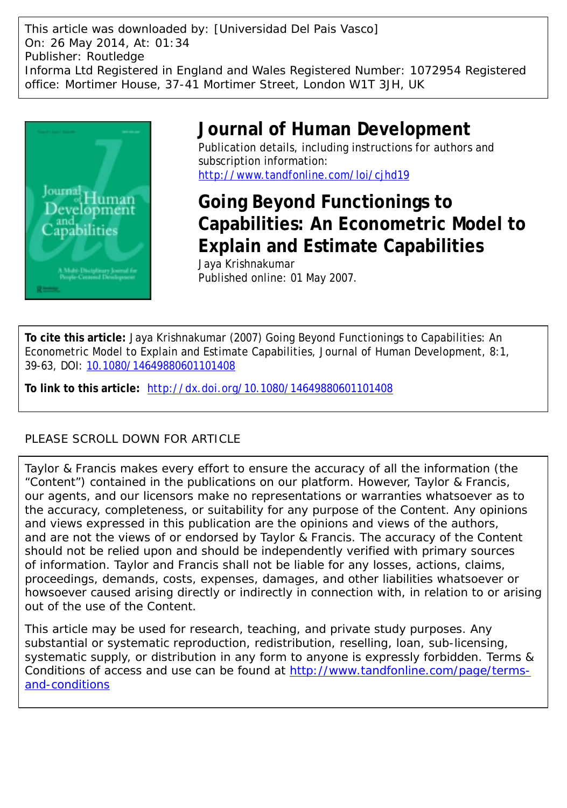This article was downloaded by: [Universidad Del Pais Vasco] On: 26 May 2014, At: 01:34 Publisher: Routledge Informa Ltd Registered in England and Wales Registered Number: 1072954 Registered office: Mortimer House, 37-41 Mortimer Street, London W1T 3JH, UK



# **Journal of Human Development**

Publication details, including instructions for authors and subscription information: <http://www.tandfonline.com/loi/cjhd19>

# **Going Beyond Functionings to Capabilities: An Econometric Model to Explain and Estimate Capabilities**

Jaya Krishnakumar Published online: 01 May 2007.

**To cite this article:** Jaya Krishnakumar (2007) Going Beyond Functionings to Capabilities: An Econometric Model to Explain and Estimate Capabilities, Journal of Human Development, 8:1, 39-63, DOI: [10.1080/14649880601101408](http://www.tandfonline.com/action/showCitFormats?doi=10.1080/14649880601101408)

**To link to this article:** <http://dx.doi.org/10.1080/14649880601101408>

## PLEASE SCROLL DOWN FOR ARTICLE

Taylor & Francis makes every effort to ensure the accuracy of all the information (the "Content") contained in the publications on our platform. However, Taylor & Francis, our agents, and our licensors make no representations or warranties whatsoever as to the accuracy, completeness, or suitability for any purpose of the Content. Any opinions and views expressed in this publication are the opinions and views of the authors, and are not the views of or endorsed by Taylor & Francis. The accuracy of the Content should not be relied upon and should be independently verified with primary sources of information. Taylor and Francis shall not be liable for any losses, actions, claims, proceedings, demands, costs, expenses, damages, and other liabilities whatsoever or howsoever caused arising directly or indirectly in connection with, in relation to or arising out of the use of the Content.

This article may be used for research, teaching, and private study purposes. Any substantial or systematic reproduction, redistribution, reselling, loan, sub-licensing, systematic supply, or distribution in any form to anyone is expressly forbidden. Terms & Conditions of access and use can be found at [http://www.tandfonline.com/page/terms](http://www.tandfonline.com/page/terms-and-conditions)[and-conditions](http://www.tandfonline.com/page/terms-and-conditions)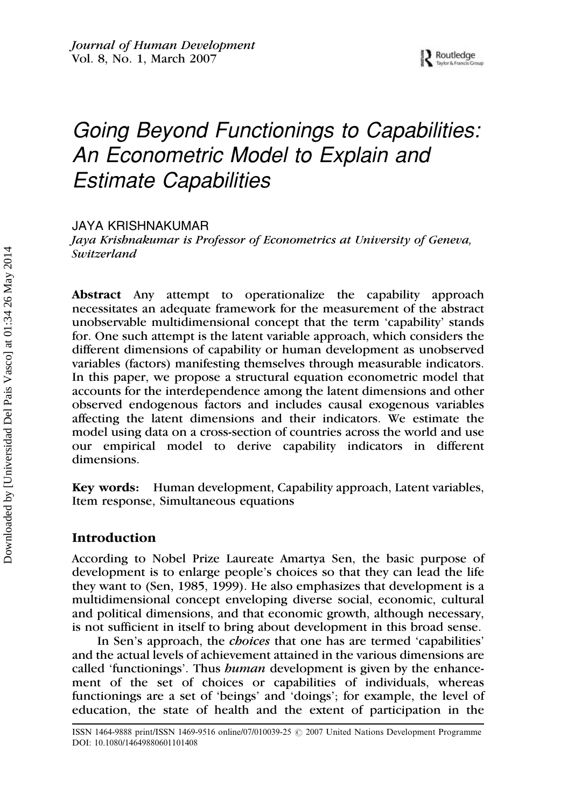# Going Beyond Functionings to Capabilities: An Econometric Model to Explain and Estimate Capabilities

JAYA KRISHNAKUMAR

Jaya Krishnakumar is Professor of Econometrics at University of Geneva, Switzerland

Abstract Any attempt to operationalize the capability approach necessitates an adequate framework for the measurement of the abstract unobservable multidimensional concept that the term 'capability' stands for. One such attempt is the latent variable approach, which considers the different dimensions of capability or human development as unobserved variables (factors) manifesting themselves through measurable indicators. In this paper, we propose a structural equation econometric model that accounts for the interdependence among the latent dimensions and other observed endogenous factors and includes causal exogenous variables affecting the latent dimensions and their indicators. We estimate the model using data on a cross-section of countries across the world and use our empirical model to derive capability indicators in different dimensions.

Key words: Human development, Capability approach, Latent variables, Item response, Simultaneous equations

## Introduction

According to Nobel Prize Laureate Amartya Sen, the basic purpose of development is to enlarge people's choices so that they can lead the life they want to (Sen, 1985, 1999). He also emphasizes that development is a multidimensional concept enveloping diverse social, economic, cultural and political dimensions, and that economic growth, although necessary, is not sufficient in itself to bring about development in this broad sense.

In Sen's approach, the *choices* that one has are termed 'capabilities' and the actual levels of achievement attained in the various dimensions are called 'functionings'. Thus *human* development is given by the enhancement of the set of choices or capabilities of individuals, whereas functionings are a set of 'beings' and 'doings'; for example, the level of education, the state of health and the extent of participation in the

ISSN 1464-9888 print/ISSN 1469-9516 online/07/010039-25  $\odot$  2007 United Nations Development Programme DOI: 10.1080/14649880601101408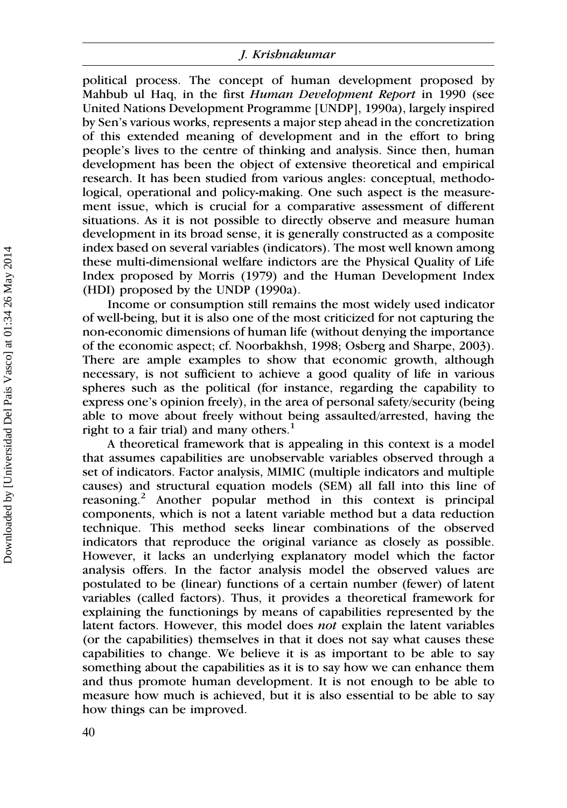political process. The concept of human development proposed by Mahbub ul Haq, in the first Human Development Report in 1990 (see United Nations Development Programme [UNDP], 1990a), largely inspired by Sen's various works, represents a major step ahead in the concretization of this extended meaning of development and in the effort to bring people's lives to the centre of thinking and analysis. Since then, human development has been the object of extensive theoretical and empirical research. It has been studied from various angles: conceptual, methodological, operational and policy-making. One such aspect is the measurement issue, which is crucial for a comparative assessment of different situations. As it is not possible to directly observe and measure human development in its broad sense, it is generally constructed as a composite index based on several variables (indicators). The most well known among these multi-dimensional welfare indictors are the Physical Quality of Life Index proposed by Morris (1979) and the Human Development Index (HDI) proposed by the UNDP (1990a).

Income or consumption still remains the most widely used indicator of well-being, but it is also one of the most criticized for not capturing the non-economic dimensions of human life (without denying the importance of the economic aspect; cf. Noorbakhsh, 1998; Osberg and Sharpe, 2003). There are ample examples to show that economic growth, although necessary, is not sufficient to achieve a good quality of life in various spheres such as the political (for instance, regarding the capability to express one's opinion freely), in the area of personal safety/security (being able to move about freely without being assaulted/arrested, having the right to a fair trial) and many others.<sup>1</sup>

A theoretical framework that is appealing in this context is a model that assumes capabilities are unobservable variables observed through a set of indicators. Factor analysis, MIMIC (multiple indicators and multiple causes) and structural equation models (SEM) all fall into this line of reasoning.<sup>2</sup> Another popular method in this context is principal components, which is not a latent variable method but a data reduction technique. This method seeks linear combinations of the observed indicators that reproduce the original variance as closely as possible. However, it lacks an underlying explanatory model which the factor analysis offers. In the factor analysis model the observed values are postulated to be (linear) functions of a certain number (fewer) of latent variables (called factors). Thus, it provides a theoretical framework for explaining the functionings by means of capabilities represented by the latent factors. However, this model does not explain the latent variables (or the capabilities) themselves in that it does not say what causes these capabilities to change. We believe it is as important to be able to say something about the capabilities as it is to say how we can enhance them and thus promote human development. It is not enough to be able to measure how much is achieved, but it is also essential to be able to say how things can be improved.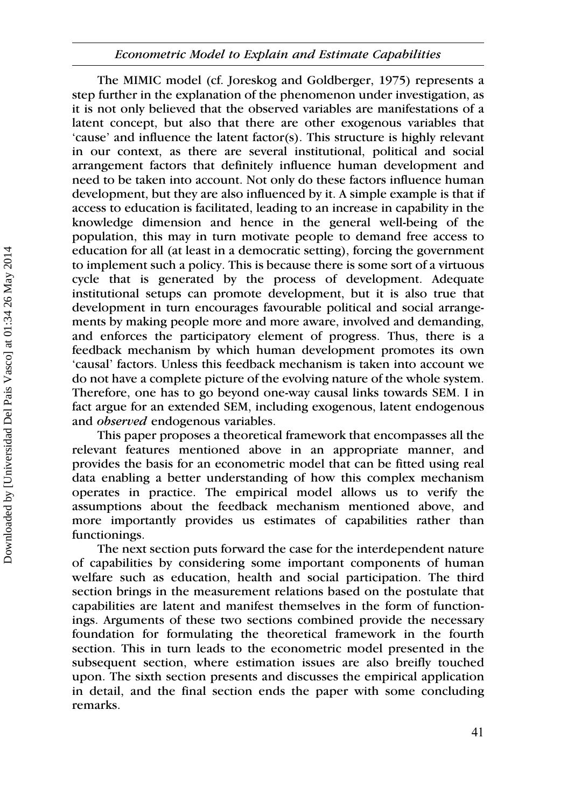Econometric Model to Explain and Estimate Capabilities

The MIMIC model (cf. Joreskog and Goldberger, 1975) represents a step further in the explanation of the phenomenon under investigation, as it is not only believed that the observed variables are manifestations of a latent concept, but also that there are other exogenous variables that 'cause' and influence the latent factor(s). This structure is highly relevant in our context, as there are several institutional, political and social arrangement factors that definitely influence human development and need to be taken into account. Not only do these factors influence human development, but they are also influenced by it. A simple example is that if access to education is facilitated, leading to an increase in capability in the knowledge dimension and hence in the general well-being of the population, this may in turn motivate people to demand free access to education for all (at least in a democratic setting), forcing the government to implement such a policy. This is because there is some sort of a virtuous cycle that is generated by the process of development. Adequate institutional setups can promote development, but it is also true that development in turn encourages favourable political and social arrangements by making people more and more aware, involved and demanding, and enforces the participatory element of progress. Thus, there is a feedback mechanism by which human development promotes its own 'causal' factors. Unless this feedback mechanism is taken into account we do not have a complete picture of the evolving nature of the whole system. Therefore, one has to go beyond one-way causal links towards SEM. I in fact argue for an extended SEM, including exogenous, latent endogenous and observed endogenous variables.

This paper proposes a theoretical framework that encompasses all the relevant features mentioned above in an appropriate manner, and provides the basis for an econometric model that can be fitted using real data enabling a better understanding of how this complex mechanism operates in practice. The empirical model allows us to verify the assumptions about the feedback mechanism mentioned above, and more importantly provides us estimates of capabilities rather than functionings.

The next section puts forward the case for the interdependent nature of capabilities by considering some important components of human welfare such as education, health and social participation. The third section brings in the measurement relations based on the postulate that capabilities are latent and manifest themselves in the form of functionings. Arguments of these two sections combined provide the necessary foundation for formulating the theoretical framework in the fourth section. This in turn leads to the econometric model presented in the subsequent section, where estimation issues are also breifly touched upon. The sixth section presents and discusses the empirical application in detail, and the final section ends the paper with some concluding remarks.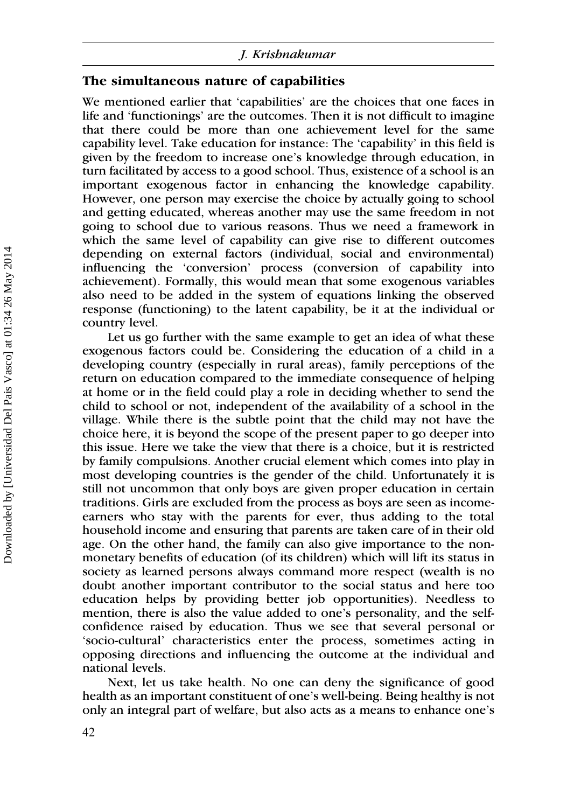### The simultaneous nature of capabilities

We mentioned earlier that 'capabilities' are the choices that one faces in life and 'functionings' are the outcomes. Then it is not difficult to imagine that there could be more than one achievement level for the same capability level. Take education for instance: The 'capability' in this field is given by the freedom to increase one's knowledge through education, in turn facilitated by access to a good school. Thus, existence of a school is an important exogenous factor in enhancing the knowledge capability. However, one person may exercise the choice by actually going to school and getting educated, whereas another may use the same freedom in not going to school due to various reasons. Thus we need a framework in which the same level of capability can give rise to different outcomes depending on external factors (individual, social and environmental) influencing the 'conversion' process (conversion of capability into achievement). Formally, this would mean that some exogenous variables also need to be added in the system of equations linking the observed response (functioning) to the latent capability, be it at the individual or country level.

Let us go further with the same example to get an idea of what these exogenous factors could be. Considering the education of a child in a developing country (especially in rural areas), family perceptions of the return on education compared to the immediate consequence of helping at home or in the field could play a role in deciding whether to send the child to school or not, independent of the availability of a school in the village. While there is the subtle point that the child may not have the choice here, it is beyond the scope of the present paper to go deeper into this issue. Here we take the view that there is a choice, but it is restricted by family compulsions. Another crucial element which comes into play in most developing countries is the gender of the child. Unfortunately it is still not uncommon that only boys are given proper education in certain traditions. Girls are excluded from the process as boys are seen as incomeearners who stay with the parents for ever, thus adding to the total household income and ensuring that parents are taken care of in their old age. On the other hand, the family can also give importance to the nonmonetary benefits of education (of its children) which will lift its status in society as learned persons always command more respect (wealth is no doubt another important contributor to the social status and here too education helps by providing better job opportunities). Needless to mention, there is also the value added to one's personality, and the selfconfidence raised by education. Thus we see that several personal or 'socio-cultural' characteristics enter the process, sometimes acting in opposing directions and influencing the outcome at the individual and national levels.

Next, let us take health. No one can deny the significance of good health as an important constituent of one's well-being. Being healthy is not only an integral part of welfare, but also acts as a means to enhance one's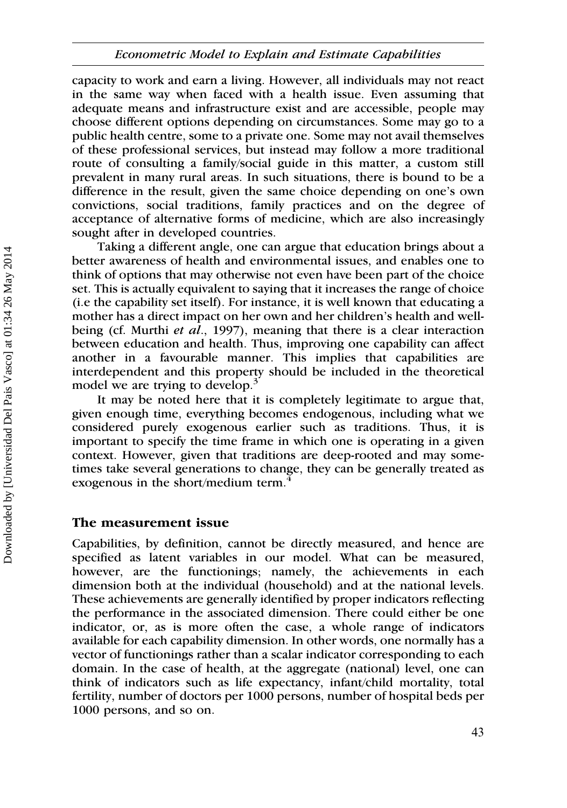Econometric Model to Explain and Estimate Capabilities

capacity to work and earn a living. However, all individuals may not react in the same way when faced with a health issue. Even assuming that adequate means and infrastructure exist and are accessible, people may choose different options depending on circumstances. Some may go to a public health centre, some to a private one. Some may not avail themselves of these professional services, but instead may follow a more traditional route of consulting a family/social guide in this matter, a custom still prevalent in many rural areas. In such situations, there is bound to be a difference in the result, given the same choice depending on one's own convictions, social traditions, family practices and on the degree of acceptance of alternative forms of medicine, which are also increasingly sought after in developed countries.

Taking a different angle, one can argue that education brings about a better awareness of health and environmental issues, and enables one to think of options that may otherwise not even have been part of the choice set. This is actually equivalent to saying that it increases the range of choice (i.e the capability set itself). For instance, it is well known that educating a mother has a direct impact on her own and her children's health and wellbeing (cf. Murthi et al., 1997), meaning that there is a clear interaction between education and health. Thus, improving one capability can affect another in a favourable manner. This implies that capabilities are interdependent and this property should be included in the theoretical model we are trying to develop.<sup>3</sup>

It may be noted here that it is completely legitimate to argue that, given enough time, everything becomes endogenous, including what we considered purely exogenous earlier such as traditions. Thus, it is important to specify the time frame in which one is operating in a given context. However, given that traditions are deep-rooted and may sometimes take several generations to change, they can be generally treated as exogenous in the short/medium term.

### The measurement issue

Capabilities, by definition, cannot be directly measured, and hence are specified as latent variables in our model. What can be measured, however, are the functionings; namely, the achievements in each dimension both at the individual (household) and at the national levels. These achievements are generally identified by proper indicators reflecting the performance in the associated dimension. There could either be one indicator, or, as is more often the case, a whole range of indicators available for each capability dimension. In other words, one normally has a vector of functionings rather than a scalar indicator corresponding to each domain. In the case of health, at the aggregate (national) level, one can think of indicators such as life expectancy, infant/child mortality, total fertility, number of doctors per 1000 persons, number of hospital beds per 1000 persons, and so on.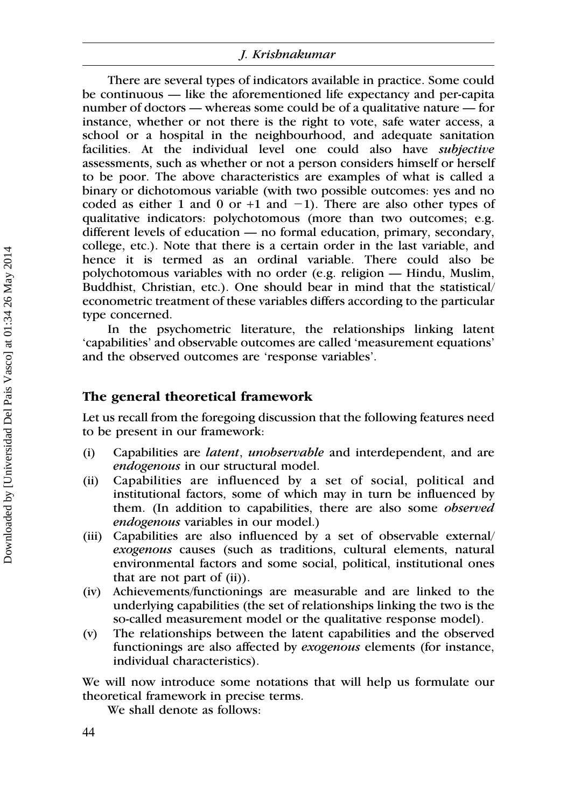There are several types of indicators available in practice. Some could be continuous — like the aforementioned life expectancy and per-capita number of doctors — whereas some could be of a qualitative nature — for instance, whether or not there is the right to vote, safe water access, a school or a hospital in the neighbourhood, and adequate sanitation facilities. At the individual level one could also have subjective assessments, such as whether or not a person considers himself or herself to be poor. The above characteristics are examples of what is called a binary or dichotomous variable (with two possible outcomes: yes and no coded as either 1 and 0 or +1 and  $-1$ ). There are also other types of qualitative indicators: polychotomous (more than two outcomes; e.g. different levels of education — no formal education, primary, secondary, college, etc.). Note that there is a certain order in the last variable, and hence it is termed as an ordinal variable. There could also be polychotomous variables with no order (e.g. religion — Hindu, Muslim, Buddhist, Christian, etc.). One should bear in mind that the statistical/ econometric treatment of these variables differs according to the particular type concerned.

In the psychometric literature, the relationships linking latent 'capabilities' and observable outcomes are called 'measurement equations' and the observed outcomes are 'response variables'.

## The general theoretical framework

Let us recall from the foregoing discussion that the following features need to be present in our framework:

- (i) Capabilities are latent, unobservable and interdependent, and are endogenous in our structural model.
- (ii) Capabilities are influenced by a set of social, political and institutional factors, some of which may in turn be influenced by them. (In addition to capabilities, there are also some observed endogenous variables in our model.)
- (iii) Capabilities are also influenced by a set of observable external/ exogenous causes (such as traditions, cultural elements, natural environmental factors and some social, political, institutional ones that are not part of (ii)).
- (iv) Achievements/functionings are measurable and are linked to the underlying capabilities (the set of relationships linking the two is the so-called measurement model or the qualitative response model).
- (v) The relationships between the latent capabilities and the observed functionings are also affected by exogenous elements (for instance, individual characteristics).

We will now introduce some notations that will help us formulate our theoretical framework in precise terms.

We shall denote as follows: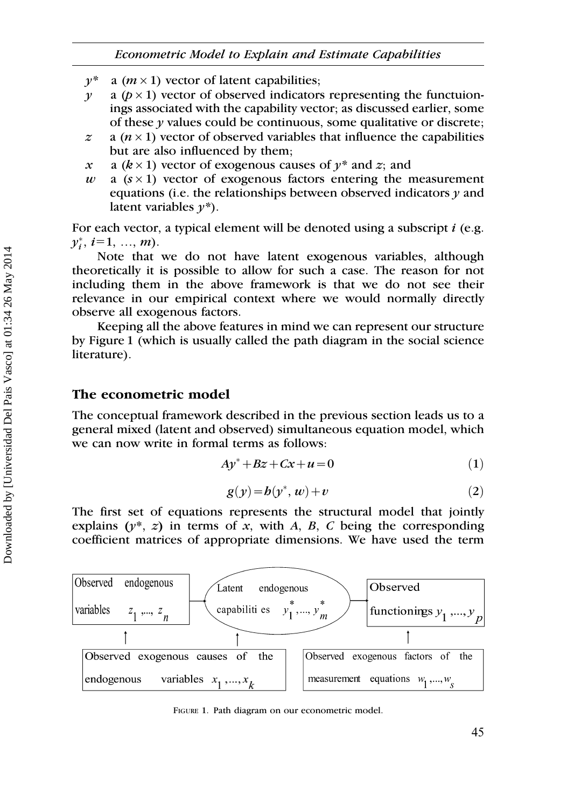- $y^*$  a ( $m \times 1$ ) vector of latent capabilities;
- $\gamma$  a ( $p \times 1$ ) vector of observed indicators representing the functuionings associated with the capability vector; as discussed earlier, some of these  $\gamma$  values could be continuous, some qualitative or discrete;
- $z = a$  ( $n \times 1$ ) vector of observed variables that influence the capabilities but are also influenced by them;
- x a  $(k \times 1)$  vector of exogenous causes of  $\gamma^*$  and z; and
- w a  $(s \times 1)$  vector of exogenous factors entering the measurement equations (i.e. the relationships between observed indicators  $y$  and latent variables  $y^*$ ).

For each vector, a typical element will be denoted using a subscript  $i$  (e.g.  $y_i^*$ ,  $i=1, ..., m$ .

Note that we do not have latent exogenous variables, although theoretically it is possible to allow for such a case. The reason for not including them in the above framework is that we do not see their relevance in our empirical context where we would normally directly observe all exogenous factors.

Keeping all the above features in mind we can represent our structure by Figure 1 (which is usually called the path diagram in the social science literature).

## The econometric model

The conceptual framework described in the previous section leads us to a general mixed (latent and observed) simultaneous equation model, which we can now write in formal terms as follows:

$$
Ay^* + Bz + Cx + u = 0 \tag{1}
$$

$$
g(y) = b(y^*, w) + v \tag{2}
$$

The first set of equations represents the structural model that jointly explains  $(y^*, z)$  in terms of x, with A, B, C being the corresponding coefficient matrices of appropriate dimensions. We have used the term



FIGURE 1. Path diagram on our econometric model.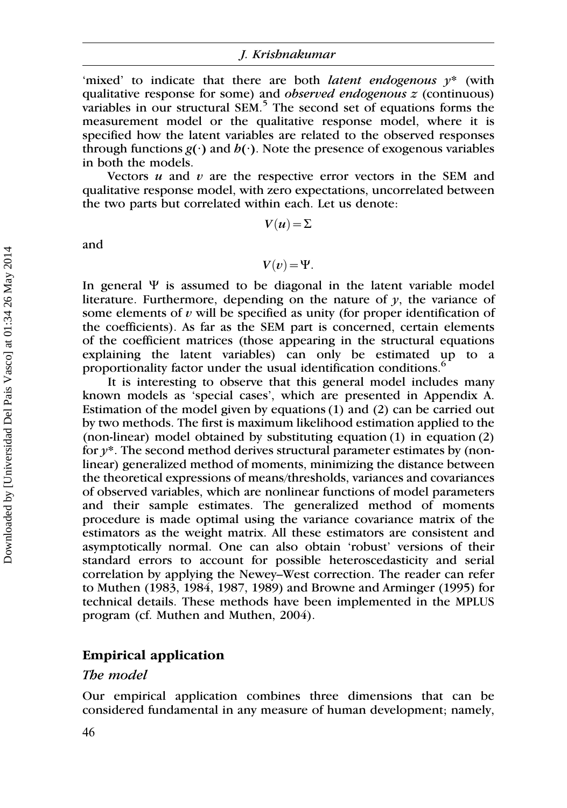'mixed' to indicate that there are both *latent endogenous*  $y^*$  (with qualitative response for some) and observed endogenous z (continuous) variables in our structural SEM.<sup>5</sup> The second set of equations forms the measurement model or the qualitative response model, where it is specified how the latent variables are related to the observed responses through functions  $g(\cdot)$  and  $h(\cdot)$ . Note the presence of exogenous variables in both the models.

Vectors  $u$  and  $v$  are the respective error vectors in the SEM and qualitative response model, with zero expectations, uncorrelated between the two parts but correlated within each. Let us denote:

$$
V(u) = \Sigma
$$

and

$$
V(v) = \Psi.
$$

In general  $\Psi$  is assumed to be diagonal in the latent variable model literature. Furthermore, depending on the nature of  $\gamma$ , the variance of some elements of  $\nu$  will be specified as unity (for proper identification of the coefficients). As far as the SEM part is concerned, certain elements of the coefficient matrices (those appearing in the structural equations explaining the latent variables) can only be estimated up to a proportionality factor under the usual identification conditions.<sup>6</sup>

It is interesting to observe that this general model includes many known models as 'special cases', which are presented in Appendix A. Estimation of the model given by equations (1) and (2) can be carried out by two methods. The first is maximum likelihood estimation applied to the (non-linear) model obtained by substituting equation (1) in equation (2) for  $\gamma^*$ . The second method derives structural parameter estimates by (nonlinear) generalized method of moments, minimizing the distance between the theoretical expressions of means/thresholds, variances and covariances of observed variables, which are nonlinear functions of model parameters and their sample estimates. The generalized method of moments procedure is made optimal using the variance covariance matrix of the estimators as the weight matrix. All these estimators are consistent and asymptotically normal. One can also obtain 'robust' versions of their standard errors to account for possible heteroscedasticity and serial correlation by applying the Newey–West correction. The reader can refer to Muthen (1983, 1984, 1987, 1989) and Browne and Arminger (1995) for technical details. These methods have been implemented in the MPLUS program (cf. Muthen and Muthen, 2004).

## Empirical application

## The model

Our empirical application combines three dimensions that can be considered fundamental in any measure of human development; namely,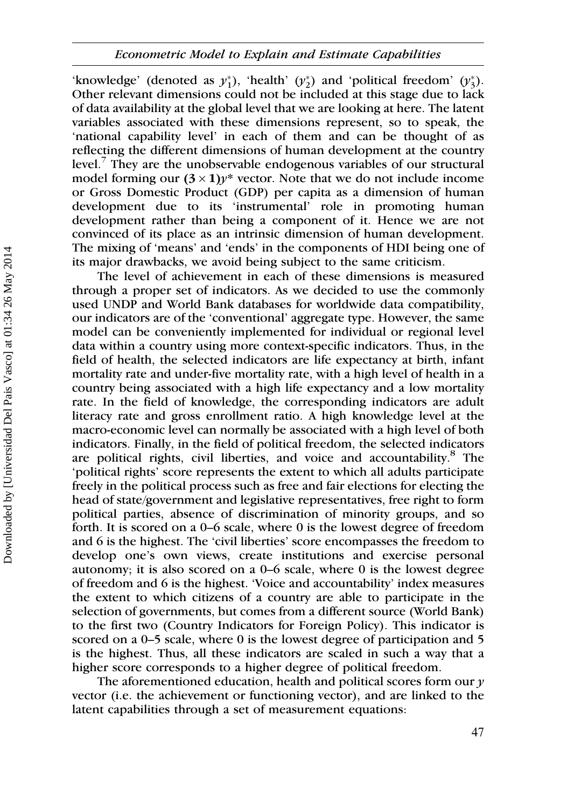Econometric Model to Explain and Estimate Capabilities

'knowledge' (denoted as  $y_1^*$ ), 'health'  $(y_2^*)$  and 'political freedom'  $(y_3^*)$ . Other relevant dimensions could not be included at this stage due to lack of data availability at the global level that we are looking at here. The latent variables associated with these dimensions represent, so to speak, the 'national capability level' in each of them and can be thought of as reflecting the different dimensions of human development at the country level.<sup>7</sup> They are the unobservable endogenous variables of our structural model forming our  $(3 \times 1)y^*$  vector. Note that we do not include income or Gross Domestic Product (GDP) per capita as a dimension of human development due to its 'instrumental' role in promoting human development rather than being a component of it. Hence we are not convinced of its place as an intrinsic dimension of human development. The mixing of 'means' and 'ends' in the components of HDI being one of its major drawbacks, we avoid being subject to the same criticism.

The level of achievement in each of these dimensions is measured through a proper set of indicators. As we decided to use the commonly used UNDP and World Bank databases for worldwide data compatibility, our indicators are of the 'conventional' aggregate type. However, the same model can be conveniently implemented for individual or regional level data within a country using more context-specific indicators. Thus, in the field of health, the selected indicators are life expectancy at birth, infant mortality rate and under-five mortality rate, with a high level of health in a country being associated with a high life expectancy and a low mortality rate. In the field of knowledge, the corresponding indicators are adult literacy rate and gross enrollment ratio. A high knowledge level at the macro-economic level can normally be associated with a high level of both indicators. Finally, in the field of political freedom, the selected indicators are political rights, civil liberties, and voice and accountability.<sup>8</sup> The 'political rights' score represents the extent to which all adults participate freely in the political process such as free and fair elections for electing the head of state/government and legislative representatives, free right to form political parties, absence of discrimination of minority groups, and so forth. It is scored on a 0–6 scale, where 0 is the lowest degree of freedom and 6 is the highest. The 'civil liberties' score encompasses the freedom to develop one's own views, create institutions and exercise personal autonomy; it is also scored on a 0–6 scale, where 0 is the lowest degree of freedom and 6 is the highest. 'Voice and accountability' index measures the extent to which citizens of a country are able to participate in the selection of governments, but comes from a different source (World Bank) to the first two (Country Indicators for Foreign Policy). This indicator is scored on a 0–5 scale, where 0 is the lowest degree of participation and 5 is the highest. Thus, all these indicators are scaled in such a way that a higher score corresponds to a higher degree of political freedom.

The aforementioned education, health and political scores form our  $y$ vector (i.e. the achievement or functioning vector), and are linked to the latent capabilities through a set of measurement equations: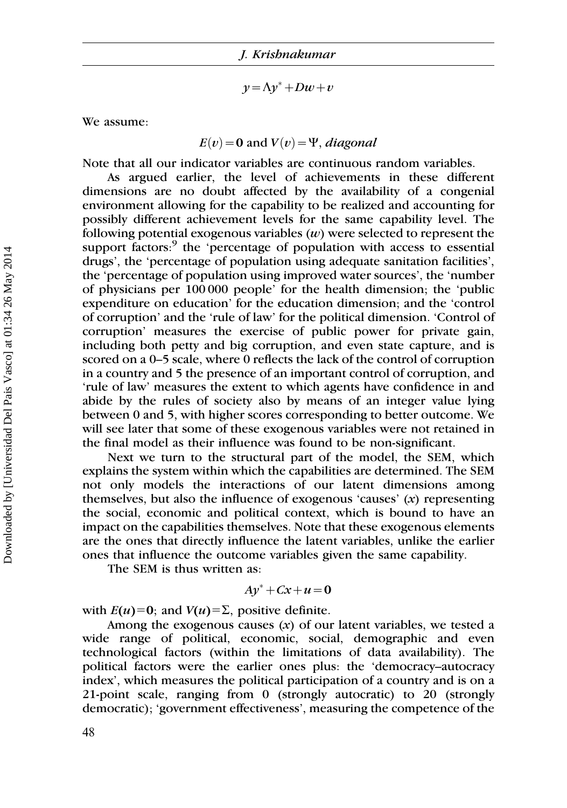$$
y = \Lambda y^* + Dw + v
$$

We assume:

## $E(v) = 0$  and  $V(v) = \Psi$ , diagonal

Note that all our indicator variables are continuous random variables.

As argued earlier, the level of achievements in these different dimensions are no doubt affected by the availability of a congenial environment allowing for the capability to be realized and accounting for possibly different achievement levels for the same capability level. The following potential exogenous variables  $(w)$  were selected to represent the support factors:<sup>9</sup> the 'percentage of population with access to essential drugs', the 'percentage of population using adequate sanitation facilities', the 'percentage of population using improved water sources', the 'number of physicians per 100 000 people' for the health dimension; the 'public expenditure on education' for the education dimension; and the 'control of corruption' and the 'rule of law' for the political dimension. 'Control of corruption' measures the exercise of public power for private gain, including both petty and big corruption, and even state capture, and is scored on a 0–5 scale, where 0 reflects the lack of the control of corruption in a country and 5 the presence of an important control of corruption, and 'rule of law' measures the extent to which agents have confidence in and abide by the rules of society also by means of an integer value lying between 0 and 5, with higher scores corresponding to better outcome. We will see later that some of these exogenous variables were not retained in the final model as their influence was found to be non-significant.

Next we turn to the structural part of the model, the SEM, which explains the system within which the capabilities are determined. The SEM not only models the interactions of our latent dimensions among themselves, but also the influence of exogenous 'causes'  $(x)$  representing the social, economic and political context, which is bound to have an impact on the capabilities themselves. Note that these exogenous elements are the ones that directly influence the latent variables, unlike the earlier ones that influence the outcome variables given the same capability.

The SEM is thus written as:

$$
Ay^*+Cx+u=0
$$

with  $E(u)=0$ ; and  $V(u)=\Sigma$ , positive definite.

Among the exogenous causes  $(x)$  of our latent variables, we tested a wide range of political, economic, social, demographic and even technological factors (within the limitations of data availability). The political factors were the earlier ones plus: the 'democracy–autocracy index', which measures the political participation of a country and is on a 21-point scale, ranging from 0 (strongly autocratic) to 20 (strongly democratic); 'government effectiveness', measuring the competence of the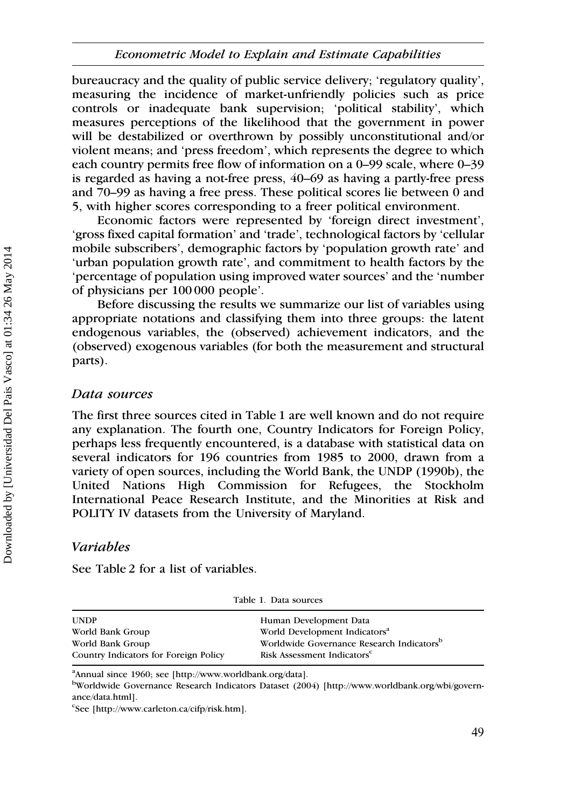Econometric Model to Explain and Estimate Capabilities

bureaucracy and the quality of public service delivery; 'regulatory quality', measuring the incidence of market-unfriendly policies such as price controls or inadequate bank supervision; 'political stability', which measures perceptions of the likelihood that the government in power will be destabilized or overthrown by possibly unconstitutional and/or violent means; and 'press freedom', which represents the degree to which each country permits free flow of information on a 0–99 scale, where 0–39 is regarded as having a not-free press, 40–69 as having a partly-free press and 70–99 as having a free press. These political scores lie between 0 and 5, with higher scores corresponding to a freer political environment.

Economic factors were represented by 'foreign direct investment', 'gross fixed capital formation' and 'trade', technological factors by 'cellular mobile subscribers', demographic factors by 'population growth rate' and 'urban population growth rate', and commitment to health factors by the 'percentage of population using improved water sources' and the 'number of physicians per 100 000 people'.

Before discussing the results we summarize our list of variables using appropriate notations and classifying them into three groups: the latent endogenous variables, the (observed) achievement indicators, and the (observed) exogenous variables (for both the measurement and structural parts).

#### Data sources

The first three sources cited in Table 1 are well known and do not require any explanation. The fourth one, Country Indicators for Foreign Policy, perhaps less frequently encountered, is a database with statistical data on several indicators for 196 countries from 1985 to 2000, drawn from a variety of open sources, including the World Bank, the UNDP (1990b), the United Nations High Commission for Refugees, the Stockholm International Peace Research Institute, and the Minorities at Risk and POLITY IV datasets from the University of Maryland.

#### Variables

See Table 2 for a list of variables.

UNDP Human Development Data World Bank Group World Development Indicators<sup>a</sup> World Bank Group **Worldwide Governance Research Indicators** Country Indicators for Foreign Policy Risk Assessment Indicators<sup>c</sup>

Table 1. Data sources

<sup>a</sup>Annual since 1960; see [http://www.worldbank.org/data].

b<br>Worldwide Governance Research Indicators Dataset (2004) [http://www.worldbank.org/wbi/governance/data.html].

c See [http://www.carleton.ca/cifp/risk.htm].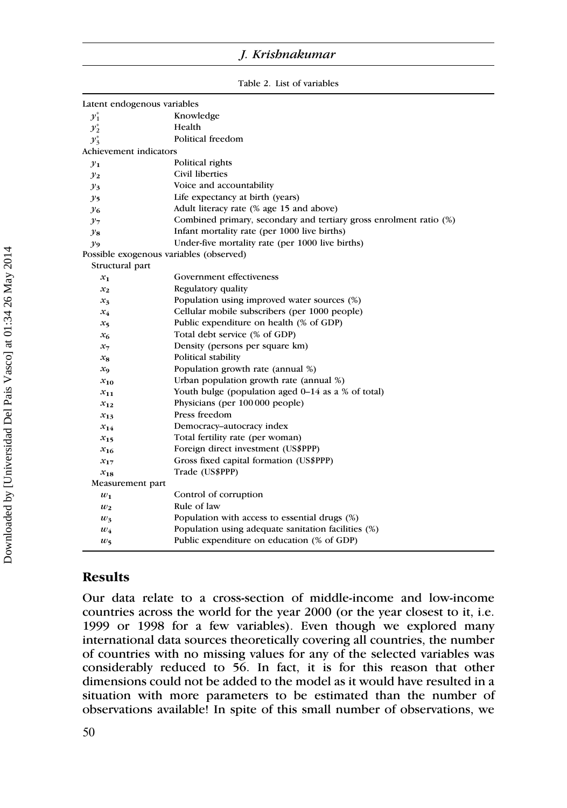| Latent endogenous variables             |                                                                    |
|-----------------------------------------|--------------------------------------------------------------------|
| $y_1^*$                                 | Knowledge                                                          |
| $y_2^*$                                 | Health                                                             |
| $y_3^*$                                 | Political freedom                                                  |
| Achievement indicators                  |                                                                    |
| $y_1$                                   | Political rights                                                   |
| $y_2$                                   | <b>Civil liberties</b>                                             |
| $y_3$                                   | Voice and accountability                                           |
| $y_{5}$                                 | Life expectancy at birth (years)                                   |
| $y_{6}$                                 | Adult literacy rate (% age 15 and above)                           |
| $y_7$                                   | Combined primary, secondary and tertiary gross enrolment ratio (%) |
| $y_8$                                   | Infant mortality rate (per 1000 live births)                       |
| $y_{9}$                                 | Under-five mortality rate (per 1000 live births)                   |
| Possible exogenous variables (observed) |                                                                    |
| Structural part                         |                                                                    |
| $x_1$                                   | Government effectiveness                                           |
| $x_2$                                   | Regulatory quality                                                 |
| $x_3$                                   | Population using improved water sources (%)                        |
| $x_4$                                   | Cellular mobile subscribers (per 1000 people)                      |
| $x_{5}$                                 | Public expenditure on health (% of GDP)                            |
| $x_6$                                   | Total debt service (% of GDP)                                      |
| $x_{7}$                                 | Density (persons per square km)                                    |
| $x_{8}$                                 | Political stability                                                |
| $x_9$                                   | Population growth rate (annual %)                                  |
| $x_{10}$                                | Urban population growth rate (annual %)                            |
| $x_{11}$                                | Youth bulge (population aged $0-14$ as a % of total)               |
| $x_{12}$                                | Physicians (per 100 000 people)                                    |
| $x_{13}$                                | Press freedom                                                      |
| $x_{14}$                                | Democracy-autocracy index                                          |
| $x_{15}$                                | Total fertility rate (per woman)                                   |
| $x_{16}$                                | Foreign direct investment (US\$PPP)                                |
| $x_{17}$                                | Gross fixed capital formation (US\$PPP)                            |
| $x_{18}$                                | Trade (US\$PPP)                                                    |
| Measurement part                        |                                                                    |
| $w_1$                                   | Control of corruption                                              |
| $w_2$                                   | Rule of law                                                        |
| $w_3$                                   | Population with access to essential drugs (%)                      |
| $w_4$                                   | Population using adequate sanitation facilities (%)                |
| $w_{5}$                                 | Public expenditure on education (% of GDP)                         |
|                                         |                                                                    |

Table 2. List of variables

## Results

Our data relate to a cross-section of middle-income and low-income countries across the world for the year 2000 (or the year closest to it, i.e. 1999 or 1998 for a few variables). Even though we explored many international data sources theoretically covering all countries, the number of countries with no missing values for any of the selected variables was considerably reduced to 56. In fact, it is for this reason that other dimensions could not be added to the model as it would have resulted in a situation with more parameters to be estimated than the number of observations available! In spite of this small number of observations, we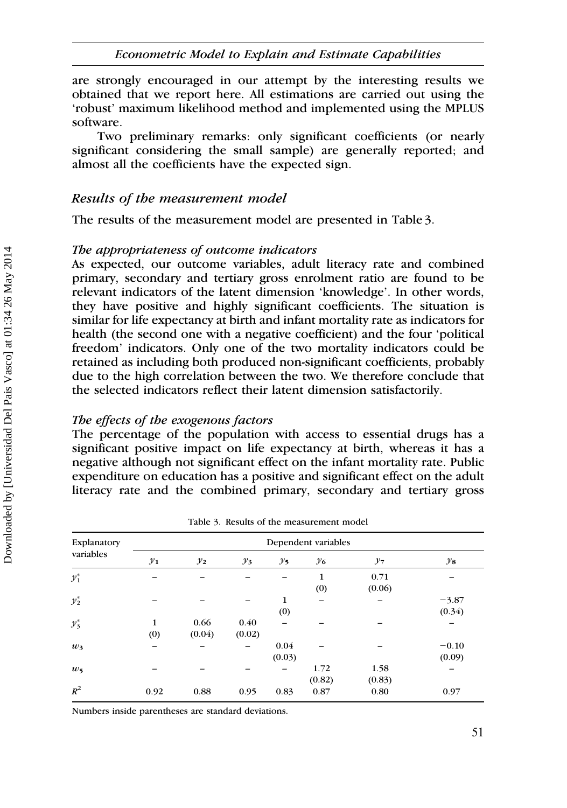are strongly encouraged in our attempt by the interesting results we obtained that we report here. All estimations are carried out using the 'robust' maximum likelihood method and implemented using the MPLUS software.

Two preliminary remarks: only significant coefficients (or nearly significant considering the small sample) are generally reported; and almost all the coefficients have the expected sign.

## Results of the measurement model

The results of the measurement model are presented in Table 3.

## The appropriateness of outcome indicators

As expected, our outcome variables, adult literacy rate and combined primary, secondary and tertiary gross enrolment ratio are found to be relevant indicators of the latent dimension 'knowledge'. In other words, they have positive and highly significant coefficients. The situation is similar for life expectancy at birth and infant mortality rate as indicators for health (the second one with a negative coefficient) and the four 'political freedom' indicators. Only one of the two mortality indicators could be retained as including both produced non-significant coefficients, probably due to the high correlation between the two. We therefore conclude that the selected indicators reflect their latent dimension satisfactorily.

## The effects of the exogenous factors

The percentage of the population with access to essential drugs has a significant positive impact on life expectancy at birth, whereas it has a negative although not significant effect on the infant mortality rate. Public expenditure on education has a positive and significant effect on the adult literacy rate and the combined primary, secondary and tertiary gross

| Explanatory | Dependent variables |                |                |                |                |                |                   |
|-------------|---------------------|----------------|----------------|----------------|----------------|----------------|-------------------|
| variables   | $y_1$               | $y_2$          | $y_3$          | $y_{5}$        | $y_{6}$        | $y_7$          | $y_8$             |
| $y_1^*$     |                     |                |                |                | 1<br>(0)       | 0.71<br>(0.06) |                   |
| $y_2^*$     |                     |                |                | 1<br>(0)       | -              |                | $-3.87$<br>(0.34) |
| $y_3^*$     | 1<br>(0)            | 0.66<br>(0.04) | 0.40<br>(0.02) |                |                |                | -                 |
| $w_3$       |                     |                |                | 0.04<br>(0.03) |                |                | $-0.10$<br>(0.09) |
| $w_{5}$     |                     |                |                |                | 1.72<br>(0.82) | 1.58<br>(0.83) |                   |
| $R^2$       | 0.92                | 0.88           | 0.95           | 0.83           | 0.87           | 0.80           | 0.97              |

| Table 3. Results of the measurement model |  |
|-------------------------------------------|--|
|-------------------------------------------|--|

Numbers inside parentheses are standard deviations.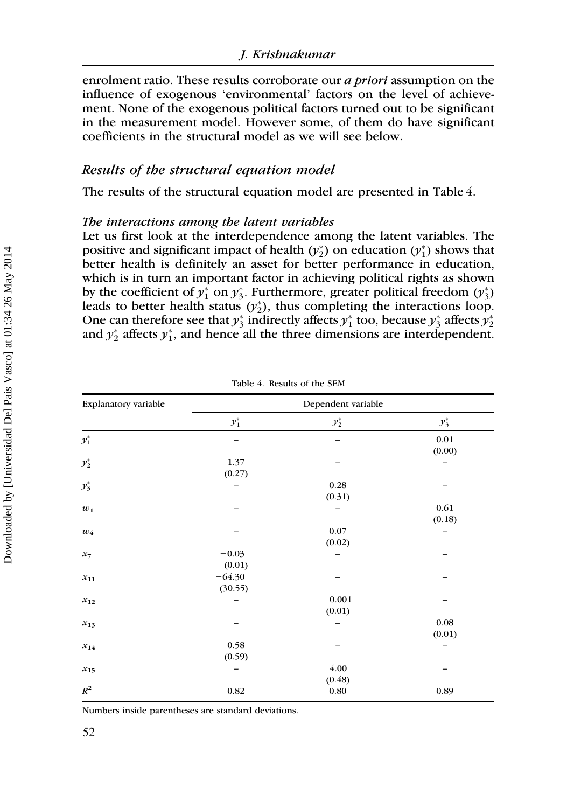enrolment ratio. These results corroborate our a priori assumption on the influence of exogenous 'environmental' factors on the level of achievement. None of the exogenous political factors turned out to be significant in the measurement model. However some, of them do have significant coefficients in the structural model as we will see below.

## Results of the structural equation model

The results of the structural equation model are presented in Table 4.

#### The interactions among the latent variables

Let us first look at the interdependence among the latent variables. The positive and significant impact of health  $(y_2^*)$  on education  $(y_1^*)$  shows that better health is definitely an asset for better performance in education, which is in turn an important factor in achieving political rights as shown by the coefficient of  $y_1^*$  on  $y_3^*$ . Furthermore, greater political freedom  $(y_3^*)$ leads to better health status  $(y_2^*)$ , thus completing the interactions loop. One can therefore see that  $y_3^*$  indirectly affects  $y_1^*$  too, because  $y_3^*$  affects  $y_2^*$ and  $y_2^*$  affects  $y_1^*$ , and hence all the three dimensions are interdependent.

| Explanatory variable | Dependent variable  |                   |                      |  |  |  |
|----------------------|---------------------|-------------------|----------------------|--|--|--|
|                      | $\mathcal{Y}_1^*$   | $\mathcal{Y}_2^*$ | $y_3^*$              |  |  |  |
| $y_1^*$              |                     |                   | $\rm 0.01$<br>(0.00) |  |  |  |
| $y_2^*$              | 1.37<br>(0.27)      |                   |                      |  |  |  |
| $y_3^*$              |                     | 0.28<br>(0.31)    |                      |  |  |  |
| $w_1$                |                     |                   | 0.61<br>(0.18)       |  |  |  |
| $w_4$                |                     | 0.07<br>(0.02)    |                      |  |  |  |
| $x_7$                | $-0.03$<br>(0.01)   |                   |                      |  |  |  |
| $x_{11}$             | $-64.30$<br>(30.55) |                   |                      |  |  |  |
| $x_{12}$             |                     | 0.001<br>(0.01)   |                      |  |  |  |
| $x_{13}$             |                     |                   | $\rm 0.08$<br>(0.01) |  |  |  |
| $x_{14}$             | $0.58\,$<br>(0.59)  |                   |                      |  |  |  |
| $x_{15}$             |                     | $-4.00$<br>(0.48) |                      |  |  |  |
| $R^2$                | 0.82                | 0.80              | 0.89                 |  |  |  |

Table 4. Results of the SEM

Numbers inside parentheses are standard deviations.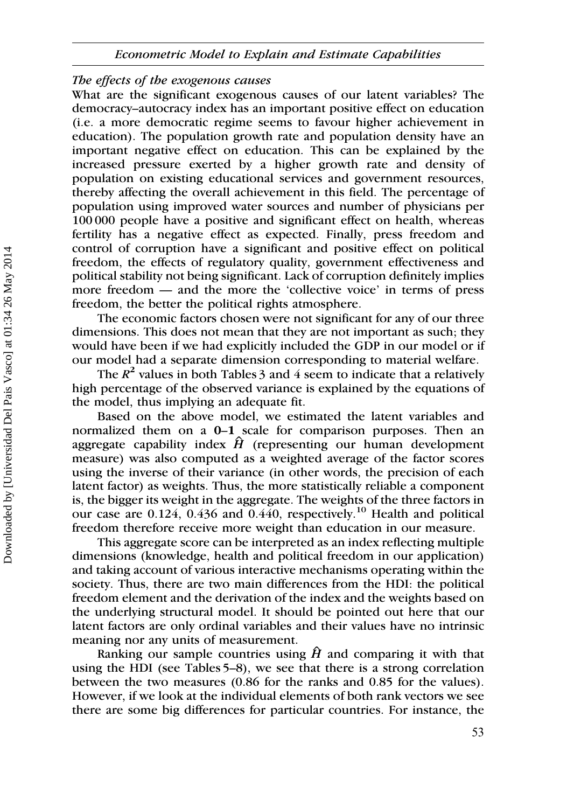#### The effects of the exogenous causes

What are the significant exogenous causes of our latent variables? The democracy–autocracy index has an important positive effect on education (i.e. a more democratic regime seems to favour higher achievement in education). The population growth rate and population density have an important negative effect on education. This can be explained by the increased pressure exerted by a higher growth rate and density of population on existing educational services and government resources, thereby affecting the overall achievement in this field. The percentage of population using improved water sources and number of physicians per 100 000 people have a positive and significant effect on health, whereas fertility has a negative effect as expected. Finally, press freedom and control of corruption have a significant and positive effect on political freedom, the effects of regulatory quality, government effectiveness and political stability not being significant. Lack of corruption definitely implies more freedom — and the more the 'collective voice' in terms of press freedom, the better the political rights atmosphere.

The economic factors chosen were not significant for any of our three dimensions. This does not mean that they are not important as such; they would have been if we had explicitly included the GDP in our model or if our model had a separate dimension corresponding to material welfare.

The  $R^2$  values in both Tables 3 and 4 seem to indicate that a relatively high percentage of the observed variance is explained by the equations of the model, thus implying an adequate fit.

Based on the above model, we estimated the latent variables and normalized them on a 0–1 scale for comparison purposes. Then an aggregate capability index  $\hat{H}$  (representing our human development measure) was also computed as a weighted average of the factor scores using the inverse of their variance (in other words, the precision of each latent factor) as weights. Thus, the more statistically reliable a component is, the bigger its weight in the aggregate. The weights of the three factors in our case are  $0.124, 0.436$  and  $0.440$ , respectively.<sup>10</sup> Health and political freedom therefore receive more weight than education in our measure.

This aggregate score can be interpreted as an index reflecting multiple dimensions (knowledge, health and political freedom in our application) and taking account of various interactive mechanisms operating within the society. Thus, there are two main differences from the HDI: the political freedom element and the derivation of the index and the weights based on the underlying structural model. It should be pointed out here that our latent factors are only ordinal variables and their values have no intrinsic meaning nor any units of measurement.

Ranking our sample countries using  $\hat{H}$  and comparing it with that using the HDI (see Tables 5–8), we see that there is a strong correlation between the two measures (0.86 for the ranks and 0.85 for the values). However, if we look at the individual elements of both rank vectors we see there are some big differences for particular countries. For instance, the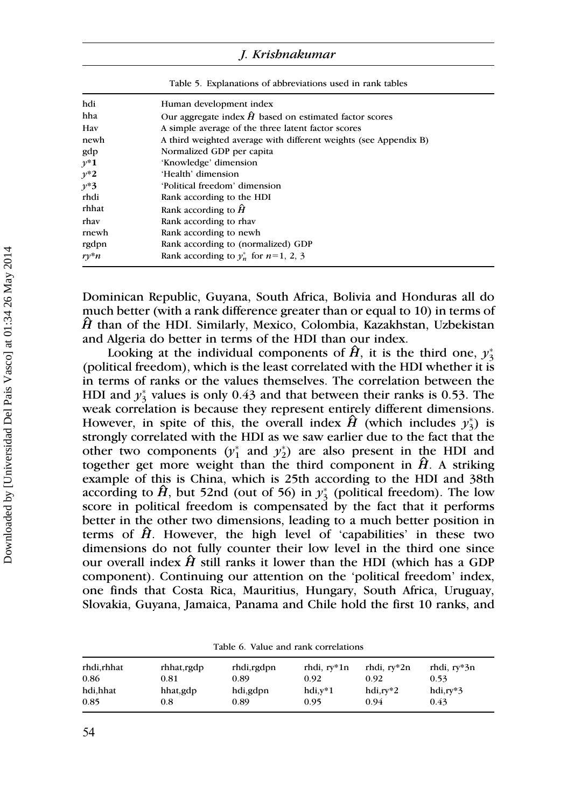J. Krishnakumar

| hdi      | Human development index                                          |  |
|----------|------------------------------------------------------------------|--|
| hha      | Our aggregate index $\hat{H}$ based on estimated factor scores   |  |
| Hav      | A simple average of the three latent factor scores               |  |
| newh     | A third weighted average with different weights (see Appendix B) |  |
| gdp      | Normalized GDP per capita                                        |  |
| $\nu^*1$ | 'Knowledge' dimension                                            |  |
| $v^*2$   | 'Health' dimension                                               |  |
| $v*3$    | 'Political freedom' dimension                                    |  |
| rhdi     | Rank according to the HDI                                        |  |
| rhhat    | Rank according to $\hat{H}$                                      |  |
| rhav     | Rank according to rhav                                           |  |
| rnewh    | Rank according to newh                                           |  |
| rgdpn    | Rank according to (normalized) GDP                               |  |
| $ry^*n$  | Rank according to $y_n^*$ for $n=1, 2, 3$                        |  |

Table 5. Explanations of abbreviations used in rank tables

Dominican Republic, Guyana, South Africa, Bolivia and Honduras all do much better (with a rank difference greater than or equal to 10) in terms of  $\hat{H}$  than of the HDI. Similarly, Mexico, Colombia, Kazakhstan, Uzbekistan and Algeria do better in terms of the HDI than our index.

Looking at the individual components of  $\hat{H}$ , it is the third one,  $y_3^*$ (political freedom), which is the least correlated with the HDI whether it is in terms of ranks or the values themselves. The correlation between the HDI and  $y_3^*$  values is only 0.43 and that between their ranks is 0.53. The weak correlation is because they represent entirely different dimensions. However, in spite of this, the overall index  $\hat{H}$  (which includes  $y_3^*$ ) is strongly correlated with the HDI as we saw earlier due to the fact that the other two components  $(y_1^*$  and  $y_2^*)$  are also present in the HDI and together get more weight than the third component in  $\hat{H}$ . A striking example of this is China, which is 25th according to the HDI and 38th according to  $\hat{H}$ , but 52nd (out of 56) in  $y_3^*$  (political freedom). The low score in political freedom is compensated by the fact that it performs better in the other two dimensions, leading to a much better position in terms of  $\hat{H}$ . However, the high level of 'capabilities' in these two dimensions do not fully counter their low level in the third one since our overall index  $H$  still ranks it lower than the HDI (which has a GDP component). Continuing our attention on the 'political freedom' index, one finds that Costa Rica, Mauritius, Hungary, South Africa, Uruguay, Slovakia, Guyana, Jamaica, Panama and Chile hold the first 10 ranks, and

| rhdi,rhhat | rhhat, rgdp | rhdi, rgdpn | rhdi, $ry*1n$ | rhdi, $rv^*2n$ | rhdi, $rv*3n$ |  |
|------------|-------------|-------------|---------------|----------------|---------------|--|
| 0.86       | $_{0.81}$   | 0.89        | 0.92          | 0.92           | 0.53          |  |
| hdi,hhat   | hhat,gdp    | hdi,gdpn    | $hdi, y*1$    | $hdi, rv*2$    | $hdi, ry*3$   |  |
| 0.85       | 0.8         | 0.89        | 0.95          | 0.94           | 0.43          |  |

Table 6. Value and rank correlations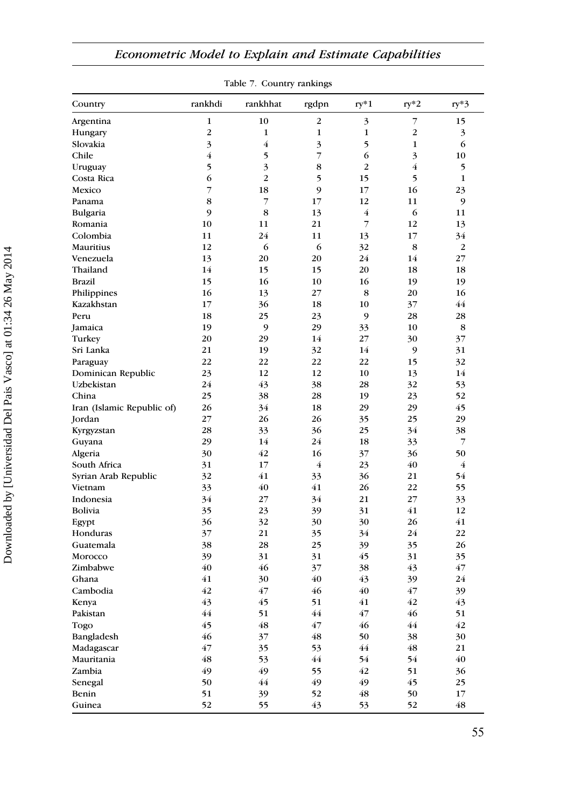| Table 7. Country rankings  |                |                |                |                |                |              |
|----------------------------|----------------|----------------|----------------|----------------|----------------|--------------|
| Country                    | rankhdi        | rankhhat       | rgdpn          | $ry*1$         | $ry*2$         | $ry*3$       |
| Argentina                  | 1              | 10             | 2              | 3              | $\overline{7}$ | 15           |
| Hungary                    | $\overline{c}$ | 1              | $\mathbf{1}$   | $\mathbf{1}$   | 2              | 3            |
| Slovakia                   | 3              | 4              | 3              | 5              | 1              | 6            |
| Chile                      | 4              | 5              | $\overline{7}$ | 6              | 3              | 10           |
| Uruguay                    | 5              | 3              | 8              | $\overline{c}$ | $\overline{4}$ | 5            |
| Costa Rica                 | 6              | $\overline{c}$ | 5              | 15             | 5              | $\mathbf{1}$ |
| Mexico                     | 7              | 18             | 9              | 17             | 16             | 23           |
| Panama                     | 8              | 7              | 17             | 12             | 11             | 9            |
| Bulgaria                   | 9              | 8              | 13             | $\overline{4}$ | 6              | 11           |
| Romania                    | 10             | 11             | 21             | 7              | 12             | 13           |
| Colombia                   | 11             | 24             | 11             | 13             | 17             | 34           |
| Mauritius                  | 12             | 6              | 6              | 32             | 8              | 2            |
| Venezuela                  | 13             | 20             | 20             | 24             | 14             | 27           |
| Thailand                   | 14             | 15             | 15             | 20             | 18             | 18           |
| <b>Brazil</b>              | 15             | 16             | 10             | 16             | 19             | 19           |
| Philippines                | 16             | 13             | 27             | 8              | 20             | 16           |
| Kazakhstan                 | 17             | 36             | 18             | 10             | 37             | 44           |
| Peru                       | 18             | 25             | 23             | 9              | 28             | 28           |
| Jamaica                    | 19             | 9              | 29             | 33             | 10             | 8            |
| Turkey                     | 20             | 29             | 14             | 27             | 30             | 37           |
| Sri Lanka                  | 21             | 19             | 32             | 14             | 9              | 31           |
| Paraguay                   | 22             | 22             | 22             | 22             | 15             | 32           |
| Dominican Republic         | 23             | 12             | 12             | 10             | 13             | 14           |
| Uzbekistan                 | 24             | 43             | 38             | 28             | 32             | 53           |
| China                      | 25             | 38             | 28             | 19             | 23             | 52           |
| Iran (Islamic Republic of) | 26             | 34             | 18             | 29             | 29             | 45           |
| Jordan                     | 27             | 26             | 26             | 35             | 25             | 29           |
| Kyrgyzstan                 | 28             | 33             | 36             | 25             | 34             | 38           |
| Guyana                     | 29             | 14             | 24             | 18             | 33             | 7            |
| Algeria                    | 30             | 42             | 16             | 37             | 36             | 50           |
| South Africa               | 31             | 17             | $\overline{4}$ | 23             | 40             | 4            |
| Syrian Arab Republic       | 32             | 41             | 33             | 36             | 21             | 54           |
| Vietnam                    | 33             | 40             | 41             | 26             | 22             | 55           |
| Indonesia                  | 34             | 27             | 34             | 21             | 27             | 33           |
| Bolivia                    | 35             | 23             | 39             | 31             | 41             | 12           |
| Egypt                      | 36             | 32             | 30             | 30             | 26             | 41           |
| Honduras                   | 37             | 21             | 35             | 34             | 24             | 22           |
| Guatemala                  | 38             | 28             | 25             | 39             | 35             | 26           |
| Morocco                    | 39             | 31             | 31             | 45             | 31             | 35           |
| Zimbabwe                   | 40             | 46             | 37             | 38             | 43             | 47           |
| Ghana                      | 41             | 30             | 40             | 43             | 39             | 24           |
| Cambodia                   | 42             | $47\,$         | 46             | $\sqrt{40}$    | 47             | 39           |
| Kenya                      | 43             | 45             | 51             | 41             | 42             | 43           |
| Pakistan                   | 44             | 51             | 44             | 47             | 46             | 51           |
| Togo                       | 45             | 48             | 47             | $46\,$         | 44             | 42           |
| Bangladesh                 | 46             | 37             | 48             | 50             | 38             | 30           |
| Madagascar                 | 47             | 35             | 53             | 44             | 48             | 21           |
| Mauritania                 | 48             | 53             | 44             | 54             | 54             | 40           |
| Zambia                     | 49             | 49             | 55             | 42             | 51             | 36           |
| Senegal                    | 50             | 44             | 49             | 49             | 45             | 25           |
| Benin                      | 51             | 39             | 52             | 48             | 50             | 17           |
| Guinea                     | 52             | 55             | 43             | 53             | 52             | 48           |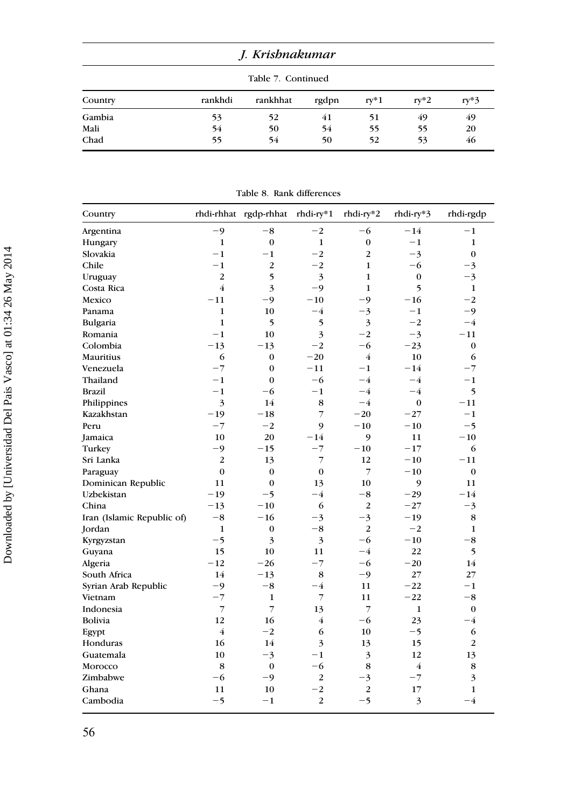| Table 7. Continued |         |          |       |        |         |         |
|--------------------|---------|----------|-------|--------|---------|---------|
| Country            | rankhdi | rankhhat | rgdpn | $ry*1$ | $rv^*2$ | $rv^*3$ |
| Gambia             | 53      | 52       | 41    | 51     | 49      | 49      |
| Mali               | 54      | 50       | 54    | 55     | 55      | 20      |
| Chad               | 55      | 54       | 50    | 52     | 53      | 46      |

Table 8. Rank differences

| Country                    |                | rhdi-rhhat rgdp-rhhat rhdi-ry*1 |                | rhdi-ry*2               | rhdi-ry*3      | rhdi-rgdp        |
|----------------------------|----------------|---------------------------------|----------------|-------------------------|----------------|------------------|
| Argentina                  | $-9$           | $-8$                            | $-2$           | $-6$                    | $-14$          | $-1$             |
| Hungary                    | $\mathbf{1}$   | $\mathbf{0}$                    | $\mathbf{1}$   | $\boldsymbol{0}$        | $-1$           | $\mathbf{1}$     |
| Slovakia                   | $-1$           | $-1$                            | $-2$           | $\overline{a}$          | $-3$           | $\bf{0}$         |
| Chile                      | $-1$           | $\overline{c}$                  | $-2$           | $\mathbf{1}$            | $-6$           | $-3$             |
| Uruguay                    | $\overline{2}$ | 5                               | 3              | $\mathbf{1}$            | $\mathbf{0}$   | $-3$             |
| Costa Rica                 | $\overline{4}$ | $\overline{\mathbf{3}}$         | $-9$           | $\mathbf{1}$            | 5              | $\mathbf{1}$     |
| Mexico                     | $-11$          | $-9$                            | $-10$          | $-9$                    | $-16$          | $-2$             |
| Panama                     | $\mathbf{1}$   | 10                              | $-4$           | $-3$                    | $-1$           | $-9$             |
| Bulgaria                   | $\mathbf{1}$   | 5                               | 5              | $\overline{\mathbf{3}}$ | $-2$           | $-4$             |
| Romania                    | $-1$           | 10                              | 3              | $-2$                    | $-3$           | $-11$            |
| Colombia                   | $-13$          | $-13$                           | $-2$           | $-6$                    | $-23$          | $\bf{0}$         |
| Mauritius                  | 6              | $\boldsymbol{0}$                | $-20$          | $\overline{4}$          | 10             | 6                |
| Venezuela                  | $-7$           | $\mathbf{0}$                    | $-11$          | $-1$                    | $-14$          | $-7$             |
| Thailand                   | $-1$           | $\boldsymbol{0}$                | $-6$           | $-4$                    | $-4$           | $-1$             |
| <b>Brazil</b>              | $-1$           | $-6$                            | $-1$           | $-4$                    | $-4$           | 5                |
| Philippines                | 3              | 14                              | 8              | $-4$                    | $\overline{0}$ | $-11$            |
| Kazakhstan                 | $-19$          | $-18$                           | $\overline{7}$ | $-20$                   | $-27$          | $-1$             |
| Peru                       | $-7$           | $-2$                            | 9              | $-10$                   | $-10$          | $-5$             |
| Jamaica                    | 10             | 20                              | $-14$          | 9                       | 11             | $-10$            |
| Turkey                     | $-9$           | $-15$                           | $-7$           | $-10$                   | $-17$          | 6                |
| Sri Lanka                  | $\overline{2}$ | 13                              | $\overline{7}$ | 12                      | $-10$          | $-11$            |
| Paraguay                   | $\mathbf{0}$   | $\mathbf{0}$                    | $\mathbf{0}$   | $\overline{7}$          | $-10$          | $\boldsymbol{0}$ |
| Dominican Republic         | 11             | $\mathbf{0}$                    | 13             | 10                      | 9              | 11               |
| Uzbekistan                 | $-19$          | $-5$                            | $-4$           | $-8$                    | $-29$          | $-14$            |
| China                      | $-13$          | $-10$                           | 6              | $\overline{c}$          | $-27$          | $-3$             |
| Iran (Islamic Republic of) | $-8$           | $-16$                           | $-3$           | $-3$                    | $-19$          | $\bf 8$          |
| Jordan                     | $\mathbf{1}$   | $\boldsymbol{0}$                | $-8$           | 2                       | $-2$           | $\mathbf{1}$     |
| Kyrgyzstan                 | $-5$           | $\overline{\mathbf{3}}$         | 3              | $-6$                    | $-10$          | $-8$             |
| Guyana                     | 15             | 10                              | 11             | $-4$                    | 22             | 5                |
| Algeria                    | $-12$          | $-26$                           | $-7$           | $-6$                    | $-20$          | 14               |
| South Africa               | 14             | $-13$                           | 8              | $-9$                    | 27             | 27               |
| Syrian Arab Republic       | $-9$           | $-8$                            | $-4$           | 11                      | $-22$          | $^{-1}$          |
| Vietnam                    | $-7$           | $\mathbf{1}$                    | $\overline{7}$ | 11                      | $-22$          | $-8$             |
| Indonesia                  | $\overline{7}$ | $\overline{7}$                  | 13             | $\overline{7}$          | $\mathbf{1}$   | $\bf{0}$         |
| Bolivia                    | 12             | 16                              | $\overline{4}$ | $-6$                    | 23             | $-4$             |
| Egypt                      | $\overline{4}$ | $-2$                            | 6              | 10                      | $-5$           | 6                |
| Honduras                   | 16             | 14                              | 3              | 13                      | 15             | $\overline{2}$   |
| Guatemala                  | 10             | $-3$                            | $-1$           | 3                       | 12             | 13               |
| Morocco                    | 8              | $\boldsymbol{0}$                | $-6$           | 8                       | $\overline{4}$ | 8                |
| Zimbabwe                   | $-6$           | $-9$                            | $\overline{2}$ | $-3$                    | $-7$           | 3                |
| Ghana                      | 11             | 10                              | $-2$           | $\overline{2}$          | 17             | $\mathbf{1}$     |
| Cambodia                   | $-5$           | $-1$                            | $\overline{c}$ | $-5$                    | 3              | $-4$             |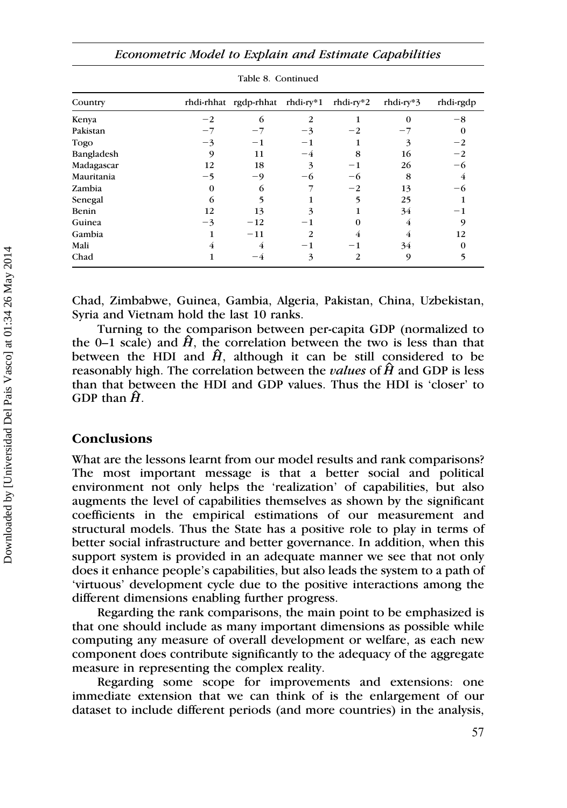| Country    |          | rhdi-rhhat rgdp-rhhat rhdi-ry*1 |                | $r$ hdi-ry*2 | $r$ hdi-r $v*3$ | rhdi-rgdp |
|------------|----------|---------------------------------|----------------|--------------|-----------------|-----------|
| Kenya      | $-2$     | 6                               | $\overline{2}$ |              | 0               | -8        |
| Pakistan   | $-7$     | $-7$                            | $-3$           | $-2$         | $-7$            |           |
| Togo       | $-3$     | — 1                             | $-1$           |              | 3               | $-2$      |
| Bangladesh | 9        | 11                              | $-4$           | 8            | 16              | $-2$      |
| Madagascar | 12       | 18                              | 3              | $-1$         | 26              | -6        |
| Mauritania | $-5$     | -9                              | -6             | $-6$         | 8               | 4         |
| Zambia     | $\Omega$ | 6                               |                | $-2$         | 13              | -6        |
| Senegal    | 6        | 5                               |                | 5            | 25              |           |
| Benin      | 12       | 13                              | 3              |              | 34              |           |
| Guinea     | $-3$     | $-12$                           | $-1$           | $\Omega$     | 4               | 9         |
| Gambia     |          | $-11$                           | 2              | 4            | 4               | 12        |
| Mali       | 4        | 4                               | $-1$           | $-1$         | 34              |           |
| Chad       |          | $-4$                            | 3              | 2            | 9               |           |

Table 8. Continued Econometric Model to Explain and Estimate Capabilities

Chad, Zimbabwe, Guinea, Gambia, Algeria, Pakistan, China, Uzbekistan, Syria and Vietnam hold the last 10 ranks.

Turning to the comparison between per-capita GDP (normalized to the 0–1 scale) and  $\hat{H}$ , the correlation between the two is less than that between the HDI and  $\hat{H}$ , although it can be still considered to be reasonably high. The correlation between the *values* of  $\hat{H}$  and GDP is less than that between the HDI and GDP values. Thus the HDI is 'closer' to GDP than  $\hat{H}$ .

## **Conclusions**

What are the lessons learnt from our model results and rank comparisons? The most important message is that a better social and political environment not only helps the 'realization' of capabilities, but also augments the level of capabilities themselves as shown by the significant coefficients in the empirical estimations of our measurement and structural models. Thus the State has a positive role to play in terms of better social infrastructure and better governance. In addition, when this support system is provided in an adequate manner we see that not only does it enhance people's capabilities, but also leads the system to a path of 'virtuous' development cycle due to the positive interactions among the different dimensions enabling further progress.

Regarding the rank comparisons, the main point to be emphasized is that one should include as many important dimensions as possible while computing any measure of overall development or welfare, as each new component does contribute significantly to the adequacy of the aggregate measure in representing the complex reality.

Regarding some scope for improvements and extensions: one immediate extension that we can think of is the enlargement of our dataset to include different periods (and more countries) in the analysis,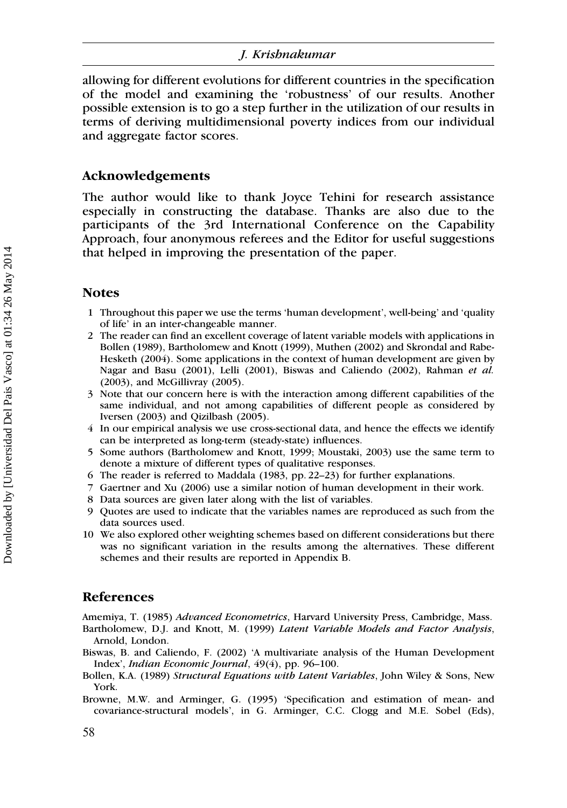allowing for different evolutions for different countries in the specification of the model and examining the 'robustness' of our results. Another possible extension is to go a step further in the utilization of our results in terms of deriving multidimensional poverty indices from our individual and aggregate factor scores.

#### Acknowledgements

The author would like to thank Joyce Tehini for research assistance especially in constructing the database. Thanks are also due to the participants of the 3rd International Conference on the Capability Approach, four anonymous referees and the Editor for useful suggestions that helped in improving the presentation of the paper.

### Notes

- 1 Throughout this paper we use the terms 'human development', well-being' and 'quality of life' in an inter-changeable manner.
- 2 The reader can find an excellent coverage of latent variable models with applications in Bollen (1989), Bartholomew and Knott (1999), Muthen (2002) and Skrondal and Rabe-Hesketh (2004). Some applications in the context of human development are given by Nagar and Basu (2001), Lelli (2001), Biswas and Caliendo (2002), Rahman et al. (2003), and McGillivray (2005).
- 3 Note that our concern here is with the interaction among different capabilities of the same individual, and not among capabilities of different people as considered by Iversen (2003) and Qizilbash (2005).
- 4 In our empirical analysis we use cross-sectional data, and hence the effects we identify can be interpreted as long-term (steady-state) influences.
- 5 Some authors (Bartholomew and Knott, 1999; Moustaki, 2003) use the same term to denote a mixture of different types of qualitative responses.
- 6 The reader is referred to Maddala (1983, pp. 22–23) for further explanations.
- 7 Gaertner and Xu (2006) use a similar notion of human development in their work.
- 8 Data sources are given later along with the list of variables.
- 9 Quotes are used to indicate that the variables names are reproduced as such from the data sources used.
- 10 We also explored other weighting schemes based on different considerations but there was no significant variation in the results among the alternatives. These different schemes and their results are reported in Appendix B.

## References

Amemiya, T. (1985) Advanced Econometrics, Harvard University Press, Cambridge, Mass. Bartholomew, D.J. and Knott, M. (1999) Latent Variable Models and Factor Analysis, Arnold, London.

- Biswas, B. and Caliendo, F. (2002) 'A multivariate analysis of the Human Development Index', Indian Economic Journal, 49(4), pp. 96–100.
- Bollen, K.A. (1989) Structural Equations with Latent Variables, John Wiley & Sons, New York.
- Browne, M.W. and Arminger, G. (1995) 'Specification and estimation of mean- and covariance-structural models', in G. Arminger, C.C. Clogg and M.E. Sobel (Eds),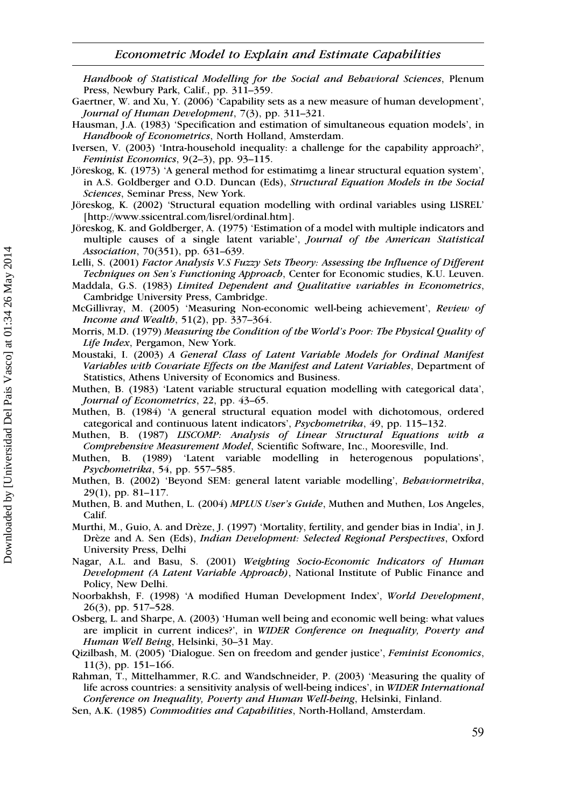Handbook of Statistical Modelling for the Social and Behavioral Sciences, Plenum Press, Newbury Park, Calif., pp. 311–359.

- Gaertner, W. and Xu, Y. (2006) 'Capability sets as a new measure of human development', Journal of Human Development, 7(3), pp. 311–321.
- Hausman, J.A. (1983) 'Specification and estimation of simultaneous equation models', in Handbook of Econometrics, North Holland, Amsterdam.
- Iversen, V. (2003) 'Intra-household inequality: a challenge for the capability approach?', Feminist Economics, 9(2–3), pp. 93–115.
- Jöreskog, K. (1973) 'A general method for estimatimg a linear structural equation system', in A.S. Goldberger and O.D. Duncan (Eds), Structural Equation Models in the Social Sciences, Seminar Press, New York.
- Jöreskog, K. (2002) 'Structural equation modelling with ordinal variables using LISREL' [http://www.ssicentral.com/lisrel/ordinal.htm].
- Jöreskog, K. and Goldberger, A. (1975) 'Estimation of a model with multiple indicators and multiple causes of a single latent variable', Journal of the American Statistical Association, 70(351), pp. 631–639.
- Lelli, S. (2001) Factor Analysis V.S Fuzzy Sets Theory: Assessing the Influence of Different Techniques on Sen's Functioning Approach, Center for Economic studies, K.U. Leuven.
- Maddala, G.S. (1983) Limited Dependent and Qualitative variables in Econometrics, Cambridge University Press, Cambridge.
- McGillivray, M. (2005) 'Measuring Non-economic well-being achievement', Review of Income and Wealth, 51(2), pp. 337–364.
- Morris, M.D. (1979) Measuring the Condition of the World's Poor: The Physical Quality of Life Index, Pergamon, New York.
- Moustaki, I. (2003) A General Class of Latent Variable Models for Ordinal Manifest Variables with Covariate Effects on the Manifest and Latent Variables, Department of Statistics, Athens University of Economics and Business.
- Muthen, B. (1983) 'Latent variable structural equation modelling with categorical data', Journal of Econometrics, 22, pp. 43-65.
- Muthen, B. (1984) 'A general structural equation model with dichotomous, ordered categorical and continuous latent indicators', Psychometrika, 49, pp. 115–132.
- Muthen, B. (1987) LISCOMP: Analysis of Linear Structural Equations with a Comprehensive Measurement Model, Scientific Software, Inc., Mooresville, Ind.
- Muthen, B. (1989) 'Latent variable modelling in heterogenous populations', Psychometrika, 54, pp. 557–585.
- Muthen, B. (2002) 'Beyond SEM: general latent variable modelling', Behaviormetrika, 29(1), pp. 81–117.
- Muthen, B. and Muthen, L. (2004) MPLUS User's Guide, Muthen and Muthen, Los Angeles, Calif.
- Murthi, M., Guio, A. and Drèze, J. (1997) 'Mortality, fertility, and gender bias in India', in J. Drèze and A. Sen (Eds), *Indian Development: Selected Regional Perspectives*, Oxford University Press, Delhi
- Nagar, A.L. and Basu, S. (2001) Weighting Socio-Economic Indicators of Human Development (A Latent Variable Approach), National Institute of Public Finance and Policy, New Delhi.
- Noorbakhsh, F. (1998) 'A modified Human Development Index', World Development, 26(3), pp. 517–528.
- Osberg, L. and Sharpe, A. (2003) 'Human well being and economic well being: what values are implicit in current indices?', in WIDER Conference on Inequality, Poverty and Human Well Being, Helsinki, 30–31 May.
- Qizilbash, M. (2005) 'Dialogue. Sen on freedom and gender justice', Feminist Economics, 11(3), pp. 151–166.
- Rahman, T., Mittelhammer, R.C. and Wandschneider, P. (2003) 'Measuring the quality of life across countries: a sensitivity analysis of well-being indices', in WIDER International Conference on Inequality, Poverty and Human Well-being, Helsinki, Finland.
- Sen, A.K. (1985) Commodities and Capabilities, North-Holland, Amsterdam.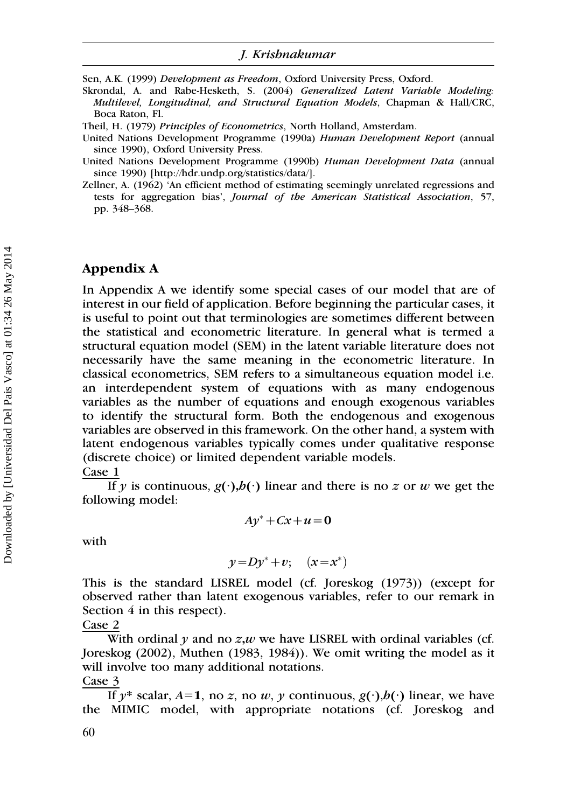Sen, A.K. (1999) Development as Freedom, Oxford University Press, Oxford.

- Skrondal, A. and Rabe-Hesketh, S. (2004) Generalized Latent Variable Modeling: Multilevel, Longitudinal, and Structural Equation Models, Chapman & Hall/CRC, Boca Raton, Fl.
- Theil, H. (1979) Principles of Econometrics, North Holland, Amsterdam.
- United Nations Development Programme (1990a) Human Development Report (annual since 1990), Oxford University Press.
- United Nations Development Programme (1990b) Human Development Data (annual since 1990) [http://hdr.undp.org/statistics/data/].
- Zellner, A. (1962) 'An efficient method of estimating seemingly unrelated regressions and tests for aggregation bias', Journal of the American Statistical Association, 57, pp. 348–368.

### Appendix A

In Appendix A we identify some special cases of our model that are of interest in our field of application. Before beginning the particular cases, it is useful to point out that terminologies are sometimes different between the statistical and econometric literature. In general what is termed a structural equation model (SEM) in the latent variable literature does not necessarily have the same meaning in the econometric literature. In classical econometrics, SEM refers to a simultaneous equation model i.e. an interdependent system of equations with as many endogenous variables as the number of equations and enough exogenous variables to identify the structural form. Both the endogenous and exogenous variables are observed in this framework. On the other hand, a system with latent endogenous variables typically comes under qualitative response (discrete choice) or limited dependent variable models. Case 1

If y is continuous,  $g(\cdot),h(\cdot)$  linear and there is no z or w we get the following model:

$$
Ay^*+Cx+u=0
$$

with

$$
y = Dy^* + v; \quad (x = x^*)
$$

This is the standard LISREL model (cf. Joreskog (1973)) (except for observed rather than latent exogenous variables, refer to our remark in Section 4 in this respect).

#### Case 2

With ordinal  $\gamma$  and no  $z,w$  we have LISREL with ordinal variables (cf. Joreskog (2002), Muthen (1983, 1984)). We omit writing the model as it will involve too many additional notations.

Case 3

If  $\gamma^*$  scalar,  $A=1$ , no z, no w, y continuous,  $g(\cdot),h(\cdot)$  linear, we have the MIMIC model, with appropriate notations (cf. Joreskog and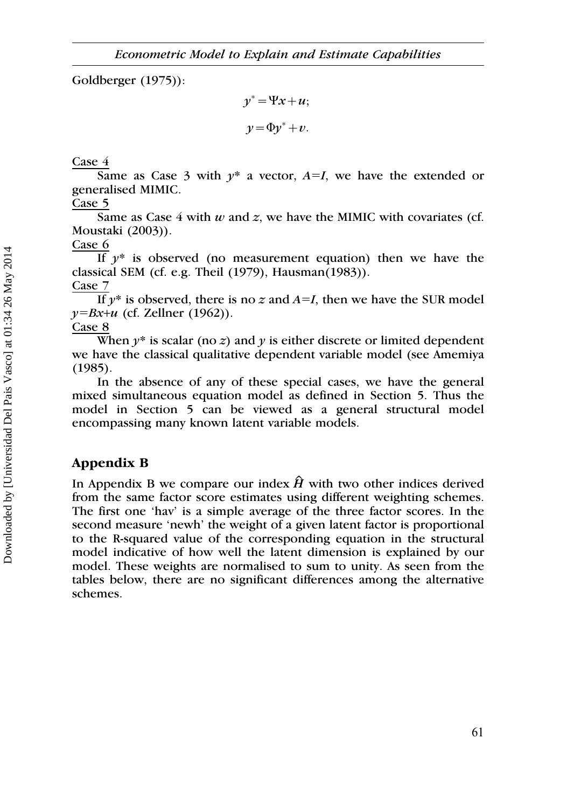Goldberger (1975)):

 $y^* = \Psi x + u;$  $y = \Phi y^* + v.$ 

Case 4

Same as Case 3 with  $y^*$  a vector,  $A=I$ , we have the extended or generalised MIMIC.

## Case 5

Same as Case 4 with w and z, we have the MIMIC with covariates (cf. Moustaki (2003)).

## Case 6

If  $v^*$  is observed (no measurement equation) then we have the classical SEM (cf. e.g. Theil (1979), Hausman(1983)). Case 7

If  $\gamma^*$  is observed, there is no z and  $A=I$ , then we have the SUR model  $y=Bx+u$  (cf. Zellner (1962)).

## Case 8

When  $\psi^*$  is scalar (no z) and  $\psi$  is either discrete or limited dependent we have the classical qualitative dependent variable model (see Amemiya (1985).

In the absence of any of these special cases, we have the general mixed simultaneous equation model as defined in Section 5. Thus the model in Section 5 can be viewed as a general structural model encompassing many known latent variable models.

## Appendix B

In Appendix B we compare our index  $\hat{H}$  with two other indices derived from the same factor score estimates using different weighting schemes. The first one 'hav' is a simple average of the three factor scores. In the second measure 'newh' the weight of a given latent factor is proportional to the R-squared value of the corresponding equation in the structural model indicative of how well the latent dimension is explained by our model. These weights are normalised to sum to unity. As seen from the tables below, there are no significant differences among the alternative schemes.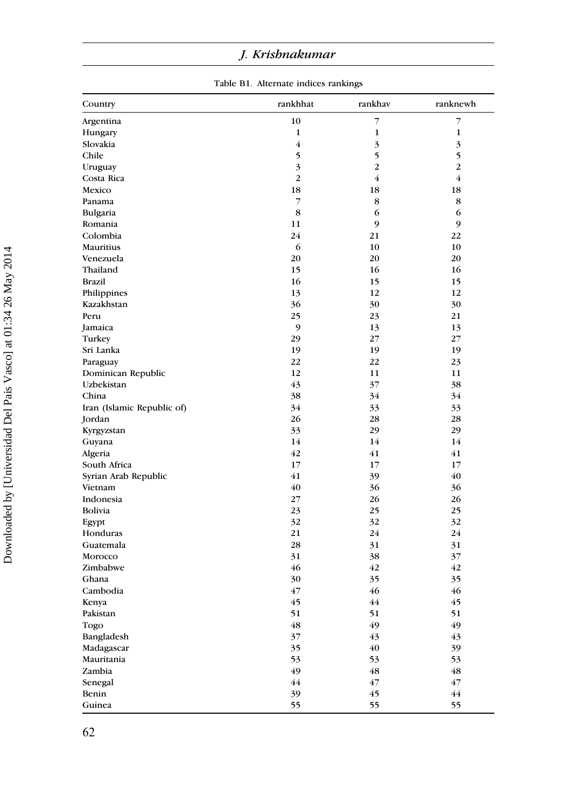|  |  | Table B1. Alternate indices rankings |  |  |
|--|--|--------------------------------------|--|--|
|--|--|--------------------------------------|--|--|

| Country                          | rankhhat       | rankhav                  | ranknewh                 |
|----------------------------------|----------------|--------------------------|--------------------------|
| Argentina                        | 10             | $\overline{\phantom{a}}$ | $\overline{\phantom{a}}$ |
| Hungary                          | $\mathbf{1}$   | $\mathbf{1}$             | $\mathbf{1}$             |
| Slovakia                         | $\overline{4}$ | $\mathfrak{Z}$           | $\mathfrak{Z}$           |
| Chile                            | 5              | 5                        | 5                        |
| Uruguay                          | $\mathfrak{Z}$ | 2                        | $\overline{c}$           |
| Costa Rica                       | $\overline{2}$ | $\overline{4}$           | $\overline{4}$           |
| Mexico                           | 18             | 18                       | 18                       |
| Panama                           | $\overline{7}$ | 8                        | 8                        |
| Bulgaria                         | 8              | 6                        | 6                        |
| Romania                          | 11             | 9                        | 9                        |
| Colombia                         | 24             | 21                       | 22                       |
| Mauritius                        | 6              | 10                       | 10                       |
| Venezuela                        | 20             | 20                       | 20                       |
| Thailand                         | 15             | 16                       | 16                       |
| <b>Brazil</b>                    | 16             | 15                       | 15                       |
| Philippines                      | 13             | 12                       | 12                       |
| Kazakhstan                       | 36             | 30                       | 30                       |
| Peru                             | 25             | 23                       | 21                       |
| Jamaica                          | 9              | 13                       | 13                       |
| Turkey                           | 29             | 27                       | 27                       |
| Sri Lanka                        | 19             | 19                       | 19                       |
|                                  | 22             | 22                       | 23                       |
| Paraguay                         | 12             | 11                       | 11                       |
| Dominican Republic<br>Uzbekistan | 43             | 37                       | 38                       |
|                                  |                |                          |                          |
| China                            | 38             | 34                       | 34                       |
| Iran (Islamic Republic of)       | 34             | 33                       | 33                       |
| Jordan                           | 26             | 28                       | 28                       |
| Kyrgyzstan                       | 33             | 29                       | 29                       |
| Guyana                           | 14             | 14                       | 14                       |
| Algeria                          | 42             | 41                       | 41                       |
| South Africa                     | 17             | 17                       | 17                       |
| Syrian Arab Republic             | 41             | 39                       | 40                       |
| Vietnam                          | 40             | 36                       | 36                       |
| Indonesia                        | 27             | 26                       | 26                       |
| Bolivia                          | 23             | 25                       | 25                       |
| Egypt                            | 32             | 32                       | 32                       |
| Honduras                         | 21             | 24                       | 24                       |
| Guatemala                        | 28             | 31                       | 31                       |
| Morocco                          | 31             | 38                       | 37                       |
| Zimbabwe                         | 46             | 42                       | 42                       |
| Ghana                            | 30             | 35                       | 35                       |
| Cambodia                         | 47             | 46                       | 46                       |
| Kenya                            | 45             | 44                       | 45                       |
| Pakistan                         | 51             | 51                       | 51                       |
| Togo                             | 48             | 49                       | 49                       |
| Bangladesh                       | 37             | 43                       | 43                       |
| Madagascar                       | 35             | 40                       | 39                       |
| Mauritania                       | 53             | 53                       | 53                       |
| Zambia                           | 49             | 48                       | 48                       |
| Senegal                          | 44             | 47                       | 47                       |
| Benin                            | 39             | 45                       | 44                       |
| Guinea                           | 55             | 55                       | 55                       |
|                                  |                |                          |                          |